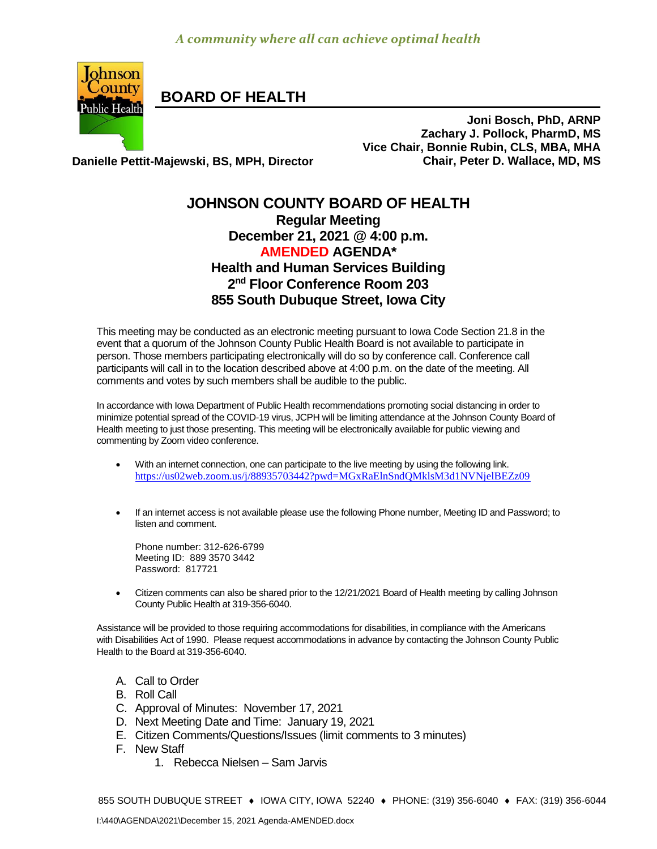

**BOARD OF HEALTH**

**Joni Bosch, PhD, ARNP Zachary J. Pollock, PharmD, MS Vice Chair, Bonnie Rubin, CLS, MBA, MHA Danielle Pettit-Majewski, BS, MPH, Director Chair, Peter D. Wallace, MD, MS**

## **JOHNSON COUNTY BOARD OF HEALTH Regular Meeting December 21, 2021 @ 4:00 p.m. AMENDED AGENDA\* Health and Human Services Building 2 nd Floor Conference Room 203 855 South Dubuque Street, Iowa City**

This meeting may be conducted as an electronic meeting pursuant to Iowa Code Section 21.8 in the event that a quorum of the Johnson County Public Health Board is not available to participate in person. Those members participating electronically will do so by conference call. Conference call participants will call in to the location described above at 4:00 p.m. on the date of the meeting. All comments and votes by such members shall be audible to the public.

In accordance with Iowa Department of Public Health recommendations promoting social distancing in order to minimize potential spread of the COVID-19 virus, JCPH will be limiting attendance at the Johnson County Board of Health meeting to just those presenting. This meeting will be electronically available for public viewing and commenting by Zoom video conference.

- With an internet connection, one can participate to the live meeting by using the following link. <https://us02web.zoom.us/j/88935703442?pwd=MGxRaElnSndQMklsM3d1NVNjelBEZz09>
- If an internet access is not available please use the following Phone number, Meeting ID and Password; to listen and comment.

Phone number: 312-626-6799 Meeting ID: 889 3570 3442 Password: 817721

 [Citizen](http://citizen/) comments can also be shared prior to the 12/21/2021 Board of Health meeting by calling Johnson County Public Health at 319-356-6040.

Assistance will be provided to those requiring accommodations for disabilities, in compliance with the Americans with Disabilities Act of 1990. Please request accommodations in advance by contacting the Johnson County Public Health to the Board at 319-356-6040.

- A. Call to Order
- B. Roll Call
- C. Approval of Minutes: November 17, 2021
- D. Next Meeting Date and Time: January 19, 2021
- E. Citizen Comments/Questions/Issues (limit comments to 3 minutes)
- F. New Staff
	- 1. Rebecca Nielsen Sam Jarvis

855 SOUTH DUBUQUE STREET ♦ IOWA CITY, IOWA 52240 ♦ PHONE: (319) 356-6040 ♦ FAX: (319) 356-6044